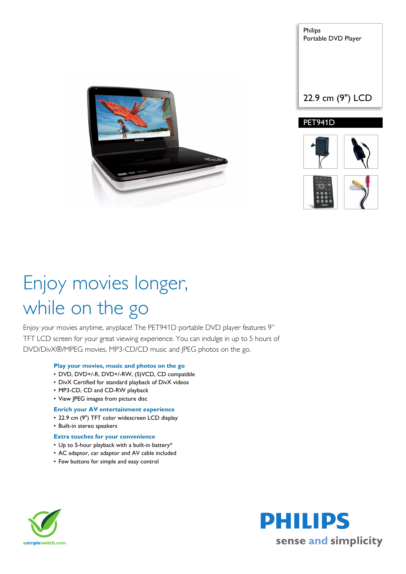

Philips Portable DVD Player

22.9 cm (9") LCD

PET941D





# Enjoy movies longer, while on the go

Enjoy your movies anytime, anyplace! The PET941D portable DVD player features 9" TFT LCD screen for your great viewing experience. You can indulge in up to 5 hours of DVD/DivX®/MPEG movies, MP3-CD/CD music and JPEG photos on the go.

### **Play your movies, music and photos on the go**

- DVD, DVD+/-R, DVD+/-RW, (S)VCD, CD compatible
- DivX Certified for standard playback of DivX videos
- MP3-CD, CD and CD-RW playback
- View JPEG images from picture disc

### **Enrich your AV entertainment experience**

- 22.9 cm (9") TFT color widescreen LCD display
- Built-in stereo speakers

### **Extra touches for your convenience**

- Up to 5-hour playback with a built-in battery\*
- AC adaptor, car adaptor and AV cable included
- Few buttons for simple and easy control